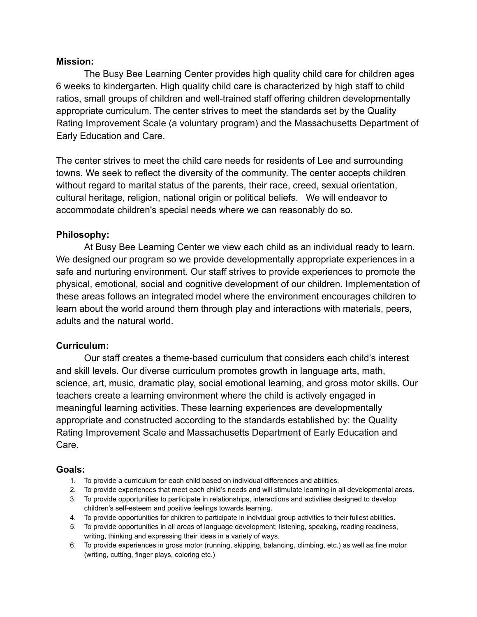#### **Mission:**

The Busy Bee Learning Center provides high quality child care for children ages 6 weeks to kindergarten. High quality child care is characterized by high staff to child ratios, small groups of children and well-trained staff offering children developmentally appropriate curriculum. The center strives to meet the standards set by the Quality Rating Improvement Scale (a voluntary program) and the Massachusetts Department of Early Education and Care.

The center strives to meet the child care needs for residents of Lee and surrounding towns. We seek to reflect the diversity of the community. The center accepts children without regard to marital status of the parents, their race, creed, sexual orientation, cultural heritage, religion, national origin or political beliefs. We will endeavor to accommodate children's special needs where we can reasonably do so.

## **Philosophy:**

At Busy Bee Learning Center we view each child as an individual ready to learn. We designed our program so we provide developmentally appropriate experiences in a safe and nurturing environment. Our staff strives to provide experiences to promote the physical, emotional, social and cognitive development of our children. Implementation of these areas follows an integrated model where the environment encourages children to learn about the world around them through play and interactions with materials, peers, adults and the natural world.

## **Curriculum:**

Our staff creates a theme-based curriculum that considers each child's interest and skill levels. Our diverse curriculum promotes growth in language arts, math, science, art, music, dramatic play, social emotional learning, and gross motor skills. Our teachers create a learning environment where the child is actively engaged in meaningful learning activities. These learning experiences are developmentally appropriate and constructed according to the standards established by: the Quality Rating Improvement Scale and Massachusetts Department of Early Education and Care.

## **Goals:**

- 1. To provide a curriculum for each child based on individual differences and abilities.
- 2. To provide experiences that meet each child's needs and will stimulate learning in all developmental areas.
- 3. To provide opportunities to participate in relationships, interactions and activities designed to develop children's self-esteem and positive feelings towards learning.
- 4. To provide opportunities for children to participate in individual group activities to their fullest abilities.
- 5. To provide opportunities in all areas of language development; listening, speaking, reading readiness, writing, thinking and expressing their ideas in a variety of ways.
- 6. To provide experiences in gross motor (running, skipping, balancing, climbing, etc.) as well as fine motor (writing, cutting, finger plays, coloring etc.)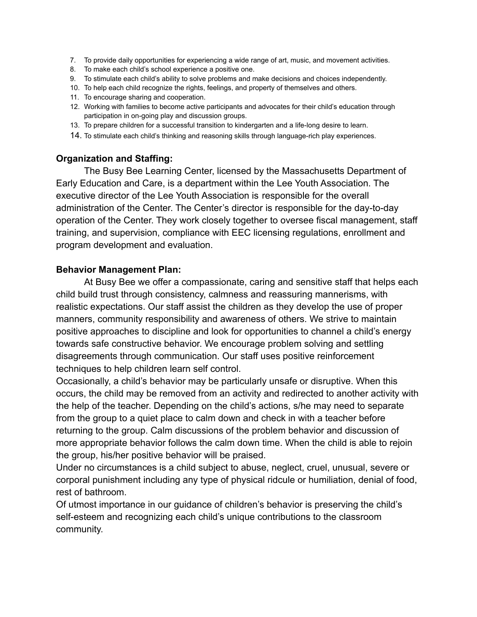- 7. To provide daily opportunities for experiencing a wide range of art, music, and movement activities.
- 8. To make each child's school experience a positive one.
- 9. To stimulate each child's ability to solve problems and make decisions and choices independently.
- 10. To help each child recognize the rights, feelings, and property of themselves and others.
- 11. To encourage sharing and cooperation.
- 12. Working with families to become active participants and advocates for their child's education through participation in on-going play and discussion groups.
- 13. To prepare children for a successful transition to kindergarten and a life-long desire to learn.
- 14. To stimulate each child's thinking and reasoning skills through language-rich play experiences.

#### **Organization and Staffing:**

The Busy Bee Learning Center, licensed by the Massachusetts Department of Early Education and Care, is a department within the Lee Youth Association. The executive director of the Lee Youth Association is responsible for the overall administration of the Center. The Center's director is responsible for the day-to-day operation of the Center. They work closely together to oversee fiscal management, staff training, and supervision, compliance with EEC licensing regulations, enrollment and program development and evaluation.

#### **Behavior Management Plan:**

At Busy Bee we offer a compassionate, caring and sensitive staff that helps each child build trust through consistency, calmness and reassuring mannerisms, with realistic expectations. Our staff assist the children as they develop the use of proper manners, community responsibility and awareness of others. We strive to maintain positive approaches to discipline and look for opportunities to channel a child's energy towards safe constructive behavior. We encourage problem solving and settling disagreements through communication. Our staff uses positive reinforcement techniques to help children learn self control.

Occasionally, a child's behavior may be particularly unsafe or disruptive. When this occurs, the child may be removed from an activity and redirected to another activity with the help of the teacher. Depending on the child's actions, s/he may need to separate from the group to a quiet place to calm down and check in with a teacher before returning to the group. Calm discussions of the problem behavior and discussion of more appropriate behavior follows the calm down time. When the child is able to rejoin the group, his/her positive behavior will be praised.

Under no circumstances is a child subject to abuse, neglect, cruel, unusual, severe or corporal punishment including any type of physical ridcule or humiliation, denial of food, rest of bathroom.

Of utmost importance in our guidance of children's behavior is preserving the child's self-esteem and recognizing each child's unique contributions to the classroom community.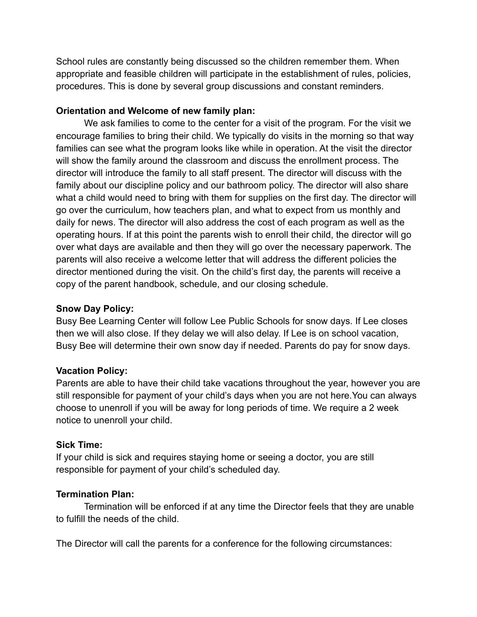School rules are constantly being discussed so the children remember them. When appropriate and feasible children will participate in the establishment of rules, policies, procedures. This is done by several group discussions and constant reminders.

#### **Orientation and Welcome of new family plan:**

We ask families to come to the center for a visit of the program. For the visit we encourage families to bring their child. We typically do visits in the morning so that way families can see what the program looks like while in operation. At the visit the director will show the family around the classroom and discuss the enrollment process. The director will introduce the family to all staff present. The director will discuss with the family about our discipline policy and our bathroom policy. The director will also share what a child would need to bring with them for supplies on the first day. The director will go over the curriculum, how teachers plan, and what to expect from us monthly and daily for news. The director will also address the cost of each program as well as the operating hours. If at this point the parents wish to enroll their child, the director will go over what days are available and then they will go over the necessary paperwork. The parents will also receive a welcome letter that will address the different policies the director mentioned during the visit. On the child's first day, the parents will receive a copy of the parent handbook, schedule, and our closing schedule.

#### **Snow Day Policy:**

Busy Bee Learning Center will follow Lee Public Schools for snow days. If Lee closes then we will also close. If they delay we will also delay. If Lee is on school vacation, Busy Bee will determine their own snow day if needed. Parents do pay for snow days.

#### **Vacation Policy:**

Parents are able to have their child take vacations throughout the year, however you are still responsible for payment of your child's days when you are not here.You can always choose to unenroll if you will be away for long periods of time. We require a 2 week notice to unenroll your child.

#### **Sick Time:**

If your child is sick and requires staying home or seeing a doctor, you are still responsible for payment of your child's scheduled day.

#### **Termination Plan:**

Termination will be enforced if at any time the Director feels that they are unable to fulfill the needs of the child.

The Director will call the parents for a conference for the following circumstances: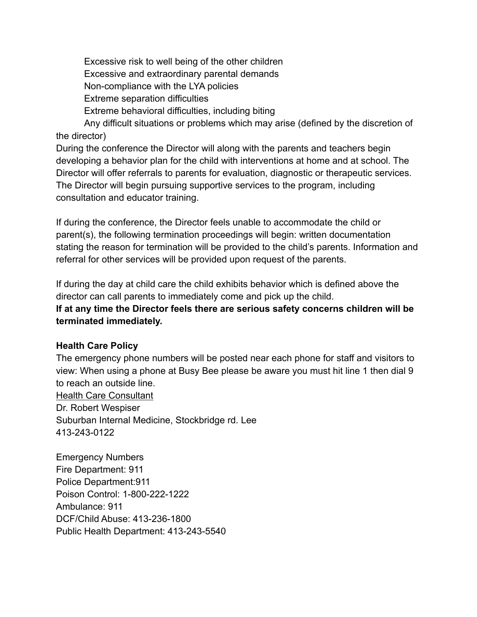Excessive risk to well being of the other children Excessive and extraordinary parental demands Non-compliance with the LYA policies Extreme separation difficulties Extreme behavioral difficulties, including biting Any difficult situations or problems which may arise (defined by the discretion of the director)

During the conference the Director will along with the parents and teachers begin developing a behavior plan for the child with interventions at home and at school. The Director will offer referrals to parents for evaluation, diagnostic or therapeutic services. The Director will begin pursuing supportive services to the program, including consultation and educator training.

If during the conference, the Director feels unable to accommodate the child or parent(s), the following termination proceedings will begin: written documentation stating the reason for termination will be provided to the child's parents. Information and referral for other services will be provided upon request of the parents.

If during the day at child care the child exhibits behavior which is defined above the director can call parents to immediately come and pick up the child.

**If at any time the Director feels there are serious safety concerns children will be terminated immediately.**

## **Health Care Policy**

The emergency phone numbers will be posted near each phone for staff and visitors to view: When using a phone at Busy Bee please be aware you must hit line 1 then dial 9 to reach an outside line. Health Care Consultant Dr. Robert Wespiser Suburban Internal Medicine, Stockbridge rd. Lee 413-243-0122

Emergency Numbers Fire Department: 911 Police Department:911 Poison Control: 1-800-222-1222 Ambulance: 911 DCF/Child Abuse: 413-236-1800 Public Health Department: 413-243-5540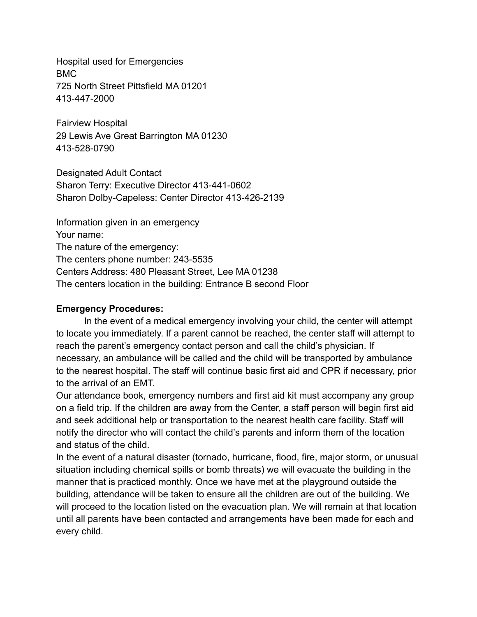Hospital used for Emergencies BMC 725 North Street Pittsfield MA 01201 413-447-2000

Fairview Hospital 29 Lewis Ave Great Barrington MA 01230 413-528-0790

Designated Adult Contact Sharon Terry: Executive Director 413-441-0602 Sharon Dolby-Capeless: Center Director 413-426-2139

Information given in an emergency Your name: The nature of the emergency: The centers phone number: 243-5535 Centers Address: 480 Pleasant Street, Lee MA 01238 The centers location in the building: Entrance B second Floor

#### **Emergency Procedures:**

In the event of a medical emergency involving your child, the center will attempt to locate you immediately. If a parent cannot be reached, the center staff will attempt to reach the parent's emergency contact person and call the child's physician. If necessary, an ambulance will be called and the child will be transported by ambulance to the nearest hospital. The staff will continue basic first aid and CPR if necessary, prior to the arrival of an EMT.

Our attendance book, emergency numbers and first aid kit must accompany any group on a field trip. If the children are away from the Center, a staff person will begin first aid and seek additional help or transportation to the nearest health care facility. Staff will notify the director who will contact the child's parents and inform them of the location and status of the child.

In the event of a natural disaster (tornado, hurricane, flood, fire, major storm, or unusual situation including chemical spills or bomb threats) we will evacuate the building in the manner that is practiced monthly. Once we have met at the playground outside the building, attendance will be taken to ensure all the children are out of the building. We will proceed to the location listed on the evacuation plan. We will remain at that location until all parents have been contacted and arrangements have been made for each and every child.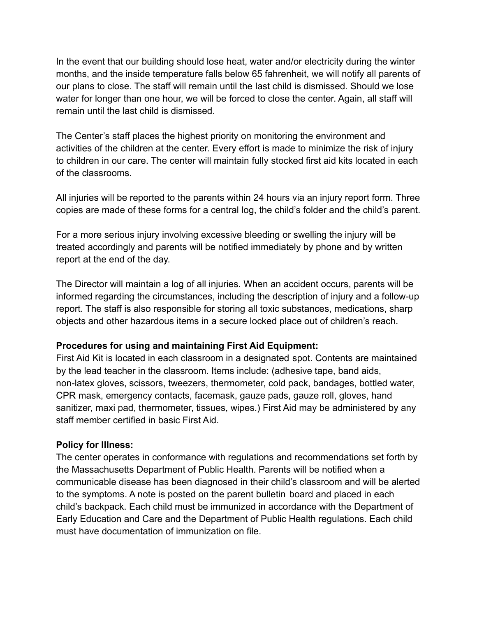In the event that our building should lose heat, water and/or electricity during the winter months, and the inside temperature falls below 65 fahrenheit, we will notify all parents of our plans to close. The staff will remain until the last child is dismissed. Should we lose water for longer than one hour, we will be forced to close the center. Again, all staff will remain until the last child is dismissed.

The Center's staff places the highest priority on monitoring the environment and activities of the children at the center. Every effort is made to minimize the risk of injury to children in our care. The center will maintain fully stocked first aid kits located in each of the classrooms.

All injuries will be reported to the parents within 24 hours via an injury report form. Three copies are made of these forms for a central log, the child's folder and the child's parent.

For a more serious injury involving excessive bleeding or swelling the injury will be treated accordingly and parents will be notified immediately by phone and by written report at the end of the day.

The Director will maintain a log of all injuries. When an accident occurs, parents will be informed regarding the circumstances, including the description of injury and a follow-up report. The staff is also responsible for storing all toxic substances, medications, sharp objects and other hazardous items in a secure locked place out of children's reach.

## **Procedures for using and maintaining First Aid Equipment:**

First Aid Kit is located in each classroom in a designated spot. Contents are maintained by the lead teacher in the classroom. Items include: (adhesive tape, band aids, non-latex gloves, scissors, tweezers, thermometer, cold pack, bandages, bottled water, CPR mask, emergency contacts, facemask, gauze pads, gauze roll, gloves, hand sanitizer, maxi pad, thermometer, tissues, wipes.) First Aid may be administered by any staff member certified in basic First Aid.

#### **Policy for Illness:**

The center operates in conformance with regulations and recommendations set forth by the Massachusetts Department of Public Health. Parents will be notified when a communicable disease has been diagnosed in their child's classroom and will be alerted to the symptoms. A note is posted on the parent bulletin board and placed in each child's backpack. Each child must be immunized in accordance with the Department of Early Education and Care and the Department of Public Health regulations. Each child must have documentation of immunization on file.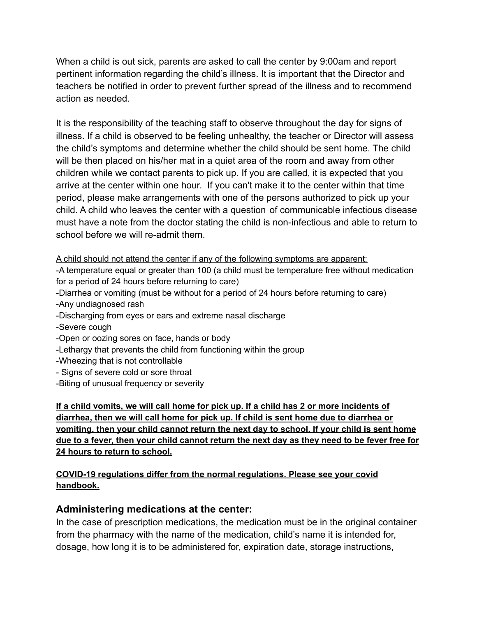When a child is out sick, parents are asked to call the center by 9:00am and report pertinent information regarding the child's illness. It is important that the Director and teachers be notified in order to prevent further spread of the illness and to recommend action as needed.

It is the responsibility of the teaching staff to observe throughout the day for signs of illness. If a child is observed to be feeling unhealthy, the teacher or Director will assess the child's symptoms and determine whether the child should be sent home. The child will be then placed on his/her mat in a quiet area of the room and away from other children while we contact parents to pick up. If you are called, it is expected that you arrive at the center within one hour. If you can't make it to the center within that time period, please make arrangements with one of the persons authorized to pick up your child. A child who leaves the center with a question of communicable infectious disease must have a note from the doctor stating the child is non-infectious and able to return to school before we will re-admit them.

A child should not attend the center if any of the following symptoms are apparent:

-A temperature equal or greater than 100 (a child must be temperature free without medication for a period of 24 hours before returning to care)

-Diarrhea or vomiting (must be without for a period of 24 hours before returning to care) -Any undiagnosed rash

- -Discharging from eyes or ears and extreme nasal discharge
- -Severe cough
- -Open or oozing sores on face, hands or body
- -Lethargy that prevents the child from functioning within the group
- -Wheezing that is not controllable
- Signs of severe cold or sore throat
- -Biting of unusual frequency or severity

If a child vomits, we will call home for pick up. If a child has 2 or more incidents of **diarrhea, then we will call home for pick up. If child is sent home due to diarrhea or vomiting, then your child cannot return the next day to school. If your child is sent home** due to a fever, then your child cannot return the next day as they need to be fever free for **24 hours to return to school.**

#### **COVID-19 regulations differ from the normal regulations. Please see your covid handbook.**

# **Administering medications at the center:**

In the case of prescription medications, the medication must be in the original container from the pharmacy with the name of the medication, child's name it is intended for, dosage, how long it is to be administered for, expiration date, storage instructions,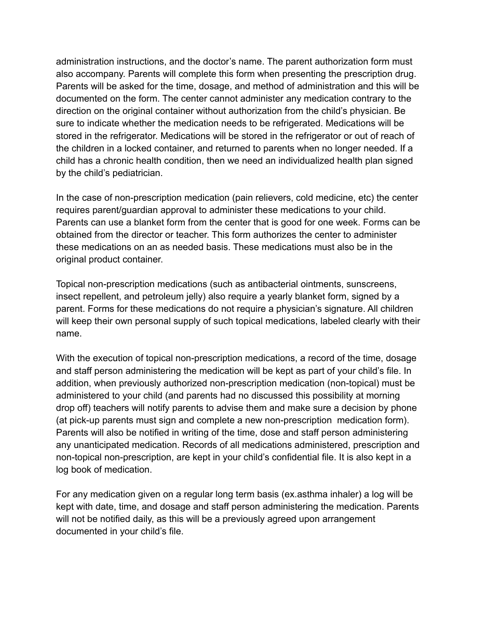administration instructions, and the doctor's name. The parent authorization form must also accompany. Parents will complete this form when presenting the prescription drug. Parents will be asked for the time, dosage, and method of administration and this will be documented on the form. The center cannot administer any medication contrary to the direction on the original container without authorization from the child's physician. Be sure to indicate whether the medication needs to be refrigerated. Medications will be stored in the refrigerator. Medications will be stored in the refrigerator or out of reach of the children in a locked container, and returned to parents when no longer needed. If a child has a chronic health condition, then we need an individualized health plan signed by the child's pediatrician.

In the case of non-prescription medication (pain relievers, cold medicine, etc) the center requires parent/guardian approval to administer these medications to your child. Parents can use a blanket form from the center that is good for one week. Forms can be obtained from the director or teacher. This form authorizes the center to administer these medications on an as needed basis. These medications must also be in the original product container.

Topical non-prescription medications (such as antibacterial ointments, sunscreens, insect repellent, and petroleum jelly) also require a yearly blanket form, signed by a parent. Forms for these medications do not require a physician's signature. All children will keep their own personal supply of such topical medications, labeled clearly with their name.

With the execution of topical non-prescription medications, a record of the time, dosage and staff person administering the medication will be kept as part of your child's file. In addition, when previously authorized non-prescription medication (non-topical) must be administered to your child (and parents had no discussed this possibility at morning drop off) teachers will notify parents to advise them and make sure a decision by phone (at pick-up parents must sign and complete a new non-prescription medication form). Parents will also be notified in writing of the time, dose and staff person administering any unanticipated medication. Records of all medications administered, prescription and non-topical non-prescription, are kept in your child's confidential file. It is also kept in a log book of medication.

For any medication given on a regular long term basis (ex.asthma inhaler) a log will be kept with date, time, and dosage and staff person administering the medication. Parents will not be notified daily, as this will be a previously agreed upon arrangement documented in your child's file.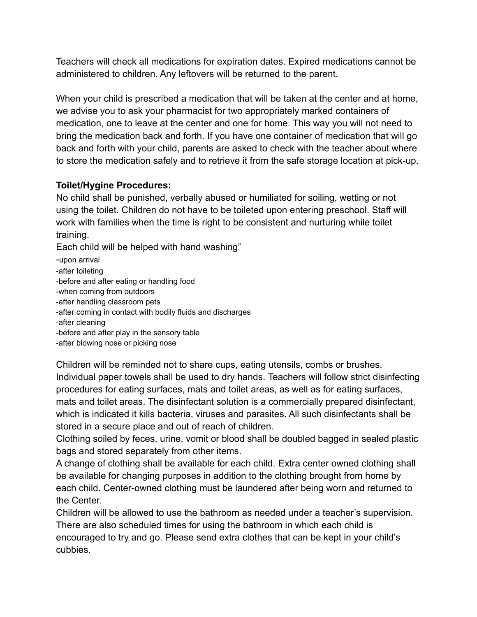Teachers will check all medications for expiration dates. Expired medications cannot be administered to children. Any leftovers will be returned to the parent.

When your child is prescribed a medication that will be taken at the center and at home, we advise you to ask your pharmacist for two appropriately marked containers of medication, one to leave at the center and one for home. This way you will not need to bring the medication back and forth. If you have one container of medication that will go back and forth with your child, parents are asked to check with the teacher about where to store the medication safely and to retrieve it from the safe storage location at pick-up.

# **Toilet/Hygine Procedures:**

No child shall be punished, verbally abused or humiliated for soiling, wetting or not using the toilet. Children do not have to be toileted upon entering preschool. Staff will work with families when the time is right to be consistent and nurturing while toilet training.

Each child will be helped with hand washing"

-upon arrival -after toileting -before and after eating or handling food -when coming from outdoors -after handling classroom pets -after coming in contact with bodily fluids and discharges -after cleaning -before and after play in the sensory table -after blowing nose or picking nose

Children will be reminded not to share cups, eating utensils, combs or brushes. Individual paper towels shall be used to dry hands. Teachers will follow strict disinfecting procedures for eating surfaces, mats and toilet areas, as well as for eating surfaces, mats and toilet areas. The disinfectant solution is a commercially prepared disinfectant, which is indicated it kills bacteria, viruses and parasites. All such disinfectants shall be stored in a secure place and out of reach of children.

Clothing soiled by feces, urine, vomit or blood shall be doubled bagged in sealed plastic bags and stored separately from other items.

A change of clothing shall be available for each child. Extra center owned clothing shall be available for changing purposes in addition to the clothing brought from home by each child. Center-owned clothing must be laundered after being worn and returned to the Center.

Children will be allowed to use the bathroom as needed under a teacher's supervision. There are also scheduled times for using the bathroom in which each child is encouraged to try and go. Please send extra clothes that can be kept in your child's cubbies.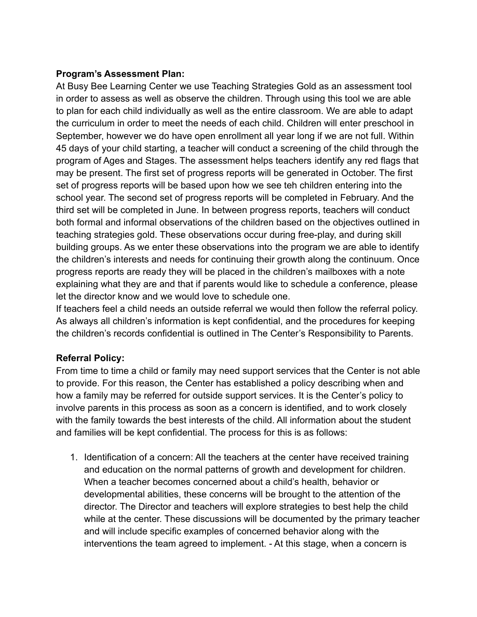## **Program's Assessment Plan:**

At Busy Bee Learning Center we use Teaching Strategies Gold as an assessment tool in order to assess as well as observe the children. Through using this tool we are able to plan for each child individually as well as the entire classroom. We are able to adapt the curriculum in order to meet the needs of each child. Children will enter preschool in September, however we do have open enrollment all year long if we are not full. Within 45 days of your child starting, a teacher will conduct a screening of the child through the program of Ages and Stages. The assessment helps teachers identify any red flags that may be present. The first set of progress reports will be generated in October. The first set of progress reports will be based upon how we see teh children entering into the school year. The second set of progress reports will be completed in February. And the third set will be completed in June. In between progress reports, teachers will conduct both formal and informal observations of the children based on the objectives outlined in teaching strategies gold. These observations occur during free-play, and during skill building groups. As we enter these observations into the program we are able to identify the children's interests and needs for continuing their growth along the continuum. Once progress reports are ready they will be placed in the children's mailboxes with a note explaining what they are and that if parents would like to schedule a conference, please let the director know and we would love to schedule one.

If teachers feel a child needs an outside referral we would then follow the referral policy. As always all children's information is kept confidential, and the procedures for keeping the children's records confidential is outlined in The Center's Responsibility to Parents.

## **Referral Policy:**

From time to time a child or family may need support services that the Center is not able to provide. For this reason, the Center has established a policy describing when and how a family may be referred for outside support services. It is the Center's policy to involve parents in this process as soon as a concern is identified, and to work closely with the family towards the best interests of the child. All information about the student and families will be kept confidential. The process for this is as follows:

1. Identification of a concern: All the teachers at the center have received training and education on the normal patterns of growth and development for children. When a teacher becomes concerned about a child's health, behavior or developmental abilities, these concerns will be brought to the attention of the director. The Director and teachers will explore strategies to best help the child while at the center. These discussions will be documented by the primary teacher and will include specific examples of concerned behavior along with the interventions the team agreed to implement. - At this stage, when a concern is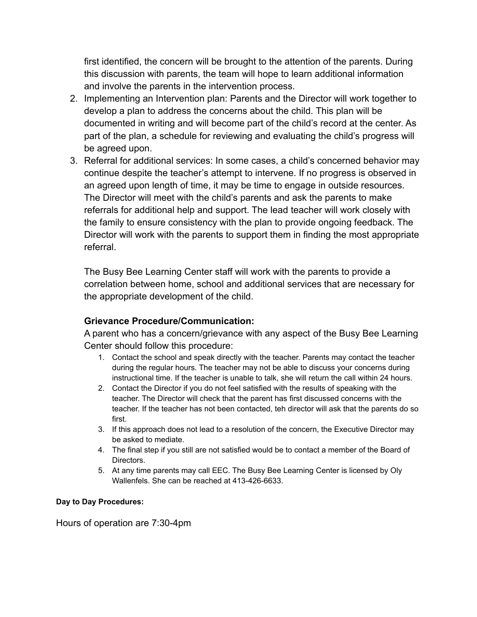first identified, the concern will be brought to the attention of the parents. During this discussion with parents, the team will hope to learn additional information and involve the parents in the intervention process.

- 2. Implementing an Intervention plan: Parents and the Director will work together to develop a plan to address the concerns about the child. This plan will be documented in writing and will become part of the child's record at the center. As part of the plan, a schedule for reviewing and evaluating the child's progress will be agreed upon.
- 3. Referral for additional services: In some cases, a child's concerned behavior may continue despite the teacher's attempt to intervene. If no progress is observed in an agreed upon length of time, it may be time to engage in outside resources. The Director will meet with the child's parents and ask the parents to make referrals for additional help and support. The lead teacher will work closely with the family to ensure consistency with the plan to provide ongoing feedback. The Director will work with the parents to support them in finding the most appropriate referral.

The Busy Bee Learning Center staff will work with the parents to provide a correlation between home, school and additional services that are necessary for the appropriate development of the child.

## **Grievance Procedure/Communication:**

A parent who has a concern/grievance with any aspect of the Busy Bee Learning Center should follow this procedure:

- 1. Contact the school and speak directly with the teacher. Parents may contact the teacher during the regular hours. The teacher may not be able to discuss your concerns during instructional time. If the teacher is unable to talk, she will return the call within 24 hours.
- 2. Contact the Director if you do not feel satisfied with the results of speaking with the teacher. The Director will check that the parent has first discussed concerns with the teacher. If the teacher has not been contacted, teh director will ask that the parents do so first.
- 3. If this approach does not lead to a resolution of the concern, the Executive Director may be asked to mediate.
- 4. The final step if you still are not satisfied would be to contact a member of the Board of Directors.
- 5. At any time parents may call EEC. The Busy Bee Learning Center is licensed by Oly Wallenfels. She can be reached at 413-426-6633.

#### **Day to Day Procedures:**

Hours of operation are 7:30-4pm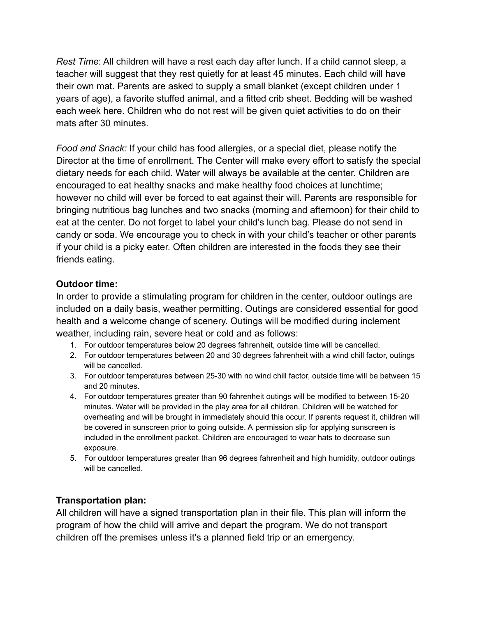*Rest Time*: All children will have a rest each day after lunch. If a child cannot sleep, a teacher will suggest that they rest quietly for at least 45 minutes. Each child will have their own mat. Parents are asked to supply a small blanket (except children under 1 years of age), a favorite stuffed animal, and a fitted crib sheet. Bedding will be washed each week here. Children who do not rest will be given quiet activities to do on their mats after 30 minutes.

*Food and Snack:* If your child has food allergies, or a special diet, please notify the Director at the time of enrollment. The Center will make every effort to satisfy the special dietary needs for each child. Water will always be available at the center. Children are encouraged to eat healthy snacks and make healthy food choices at lunchtime; however no child will ever be forced to eat against their will. Parents are responsible for bringing nutritious bag lunches and two snacks (morning and afternoon) for their child to eat at the center. Do not forget to label your child's lunch bag. Please do not send in candy or soda. We encourage you to check in with your child's teacher or other parents if your child is a picky eater. Often children are interested in the foods they see their friends eating.

## **Outdoor time:**

In order to provide a stimulating program for children in the center, outdoor outings are included on a daily basis, weather permitting. Outings are considered essential for good health and a welcome change of scenery. Outings will be modified during inclement weather, including rain, severe heat or cold and as follows:

- 1. For outdoor temperatures below 20 degrees fahrenheit, outside time will be cancelled.
- 2. For outdoor temperatures between 20 and 30 degrees fahrenheit with a wind chill factor, outings will be cancelled.
- 3. For outdoor temperatures between 25-30 with no wind chill factor, outside time will be between 15 and 20 minutes.
- 4. For outdoor temperatures greater than 90 fahrenheit outings will be modified to between 15-20 minutes. Water will be provided in the play area for all children. Children will be watched for overheating and will be brought in immediately should this occur. If parents request it, children will be covered in sunscreen prior to going outside. A permission slip for applying sunscreen is included in the enrollment packet. Children are encouraged to wear hats to decrease sun exposure.
- 5. For outdoor temperatures greater than 96 degrees fahrenheit and high humidity, outdoor outings will be cancelled.

## **Transportation plan:**

All children will have a signed transportation plan in their file. This plan will inform the program of how the child will arrive and depart the program. We do not transport children off the premises unless it's a planned field trip or an emergency.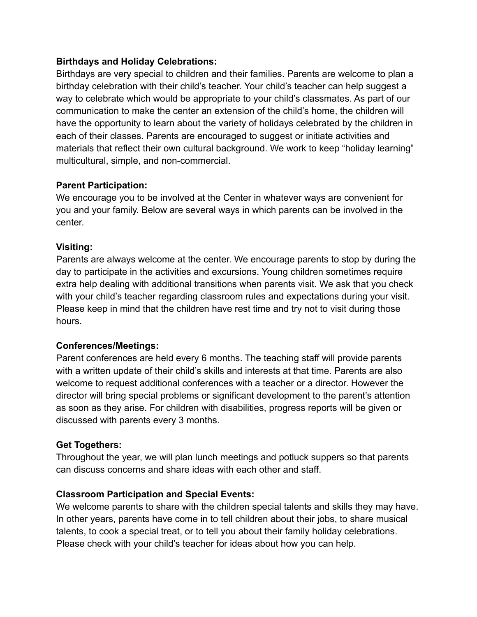## **Birthdays and Holiday Celebrations:**

Birthdays are very special to children and their families. Parents are welcome to plan a birthday celebration with their child's teacher. Your child's teacher can help suggest a way to celebrate which would be appropriate to your child's classmates. As part of our communication to make the center an extension of the child's home, the children will have the opportunity to learn about the variety of holidays celebrated by the children in each of their classes. Parents are encouraged to suggest or initiate activities and materials that reflect their own cultural background. We work to keep "holiday learning" multicultural, simple, and non-commercial.

## **Parent Participation:**

We encourage you to be involved at the Center in whatever ways are convenient for you and your family. Below are several ways in which parents can be involved in the center.

#### **Visiting:**

Parents are always welcome at the center. We encourage parents to stop by during the day to participate in the activities and excursions. Young children sometimes require extra help dealing with additional transitions when parents visit. We ask that you check with your child's teacher regarding classroom rules and expectations during your visit. Please keep in mind that the children have rest time and try not to visit during those hours.

## **Conferences/Meetings:**

Parent conferences are held every 6 months. The teaching staff will provide parents with a written update of their child's skills and interests at that time. Parents are also welcome to request additional conferences with a teacher or a director. However the director will bring special problems or significant development to the parent's attention as soon as they arise. For children with disabilities, progress reports will be given or discussed with parents every 3 months.

## **Get Togethers:**

Throughout the year, we will plan lunch meetings and potluck suppers so that parents can discuss concerns and share ideas with each other and staff.

## **Classroom Participation and Special Events:**

We welcome parents to share with the children special talents and skills they may have. In other years, parents have come in to tell children about their jobs, to share musical talents, to cook a special treat, or to tell you about their family holiday celebrations. Please check with your child's teacher for ideas about how you can help.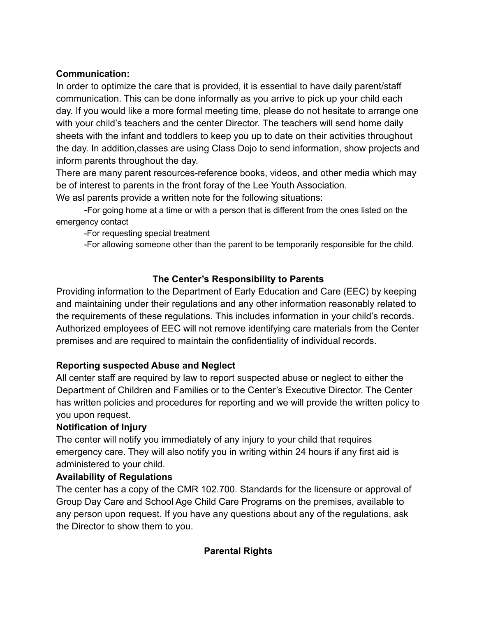# **Communication:**

In order to optimize the care that is provided, it is essential to have daily parent/staff communication. This can be done informally as you arrive to pick up your child each day. If you would like a more formal meeting time, please do not hesitate to arrange one with your child's teachers and the center Director. The teachers will send home daily sheets with the infant and toddlers to keep you up to date on their activities throughout the day. In addition,classes are using Class Dojo to send information, show projects and inform parents throughout the day.

There are many parent resources-reference books, videos, and other media which may be of interest to parents in the front foray of the Lee Youth Association.

We asl parents provide a written note for the following situations:

-For going home at a time or with a person that is different from the ones listed on the emergency contact

-For requesting special treatment

-For allowing someone other than the parent to be temporarily responsible for the child.

# **The Center's Responsibility to Parents**

Providing information to the Department of Early Education and Care (EEC) by keeping and maintaining under their regulations and any other information reasonably related to the requirements of these regulations. This includes information in your child's records. Authorized employees of EEC will not remove identifying care materials from the Center premises and are required to maintain the confidentiality of individual records.

# **Reporting suspected Abuse and Neglect**

All center staff are required by law to report suspected abuse or neglect to either the Department of Children and Families or to the Center's Executive Director. The Center has written policies and procedures for reporting and we will provide the written policy to you upon request.

# **Notification of Injury**

The center will notify you immediately of any injury to your child that requires emergency care. They will also notify you in writing within 24 hours if any first aid is administered to your child.

# **Availability of Regulations**

The center has a copy of the CMR 102.700. Standards for the licensure or approval of Group Day Care and School Age Child Care Programs on the premises, available to any person upon request. If you have any questions about any of the regulations, ask the Director to show them to you.

# **Parental Rights**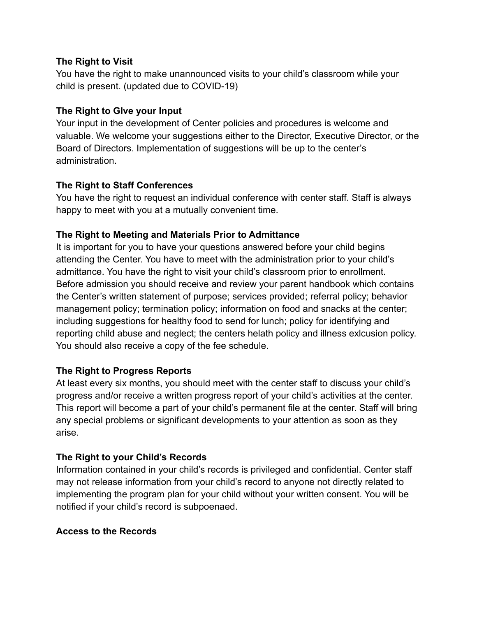#### **The Right to Visit**

You have the right to make unannounced visits to your child's classroom while your child is present. (updated due to COVID-19)

## **The Right to GIve your Input**

Your input in the development of Center policies and procedures is welcome and valuable. We welcome your suggestions either to the Director, Executive Director, or the Board of Directors. Implementation of suggestions will be up to the center's administration.

## **The Right to Staff Conferences**

You have the right to request an individual conference with center staff. Staff is always happy to meet with you at a mutually convenient time.

## **The Right to Meeting and Materials Prior to Admittance**

It is important for you to have your questions answered before your child begins attending the Center. You have to meet with the administration prior to your child's admittance. You have the right to visit your child's classroom prior to enrollment. Before admission you should receive and review your parent handbook which contains the Center's written statement of purpose; services provided; referral policy; behavior management policy; termination policy; information on food and snacks at the center; including suggestions for healthy food to send for lunch; policy for identifying and reporting child abuse and neglect; the centers helath policy and illness exlcusion policy. You should also receive a copy of the fee schedule.

## **The Right to Progress Reports**

At least every six months, you should meet with the center staff to discuss your child's progress and/or receive a written progress report of your child's activities at the center. This report will become a part of your child's permanent file at the center. Staff will bring any special problems or significant developments to your attention as soon as they arise.

# **The Right to your Child's Records**

Information contained in your child's records is privileged and confidential. Center staff may not release information from your child's record to anyone not directly related to implementing the program plan for your child without your written consent. You will be notified if your child's record is subpoenaed.

## **Access to the Records**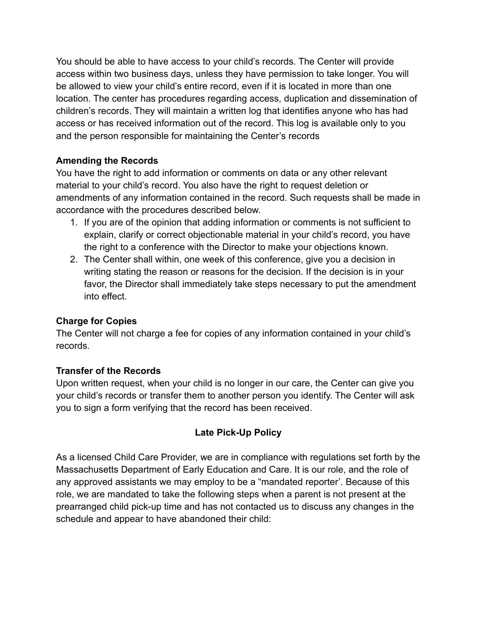You should be able to have access to your child's records. The Center will provide access within two business days, unless they have permission to take longer. You will be allowed to view your child's entire record, even if it is located in more than one location. The center has procedures regarding access, duplication and dissemination of children's records. They will maintain a written log that identifies anyone who has had access or has received information out of the record. This log is available only to you and the person responsible for maintaining the Center's records

# **Amending the Records**

You have the right to add information or comments on data or any other relevant material to your child's record. You also have the right to request deletion or amendments of any information contained in the record. Such requests shall be made in accordance with the procedures described below.

- 1. If you are of the opinion that adding information or comments is not sufficient to explain, clarify or correct objectionable material in your child's record, you have the right to a conference with the Director to make your objections known.
- 2. The Center shall within, one week of this conference, give you a decision in writing stating the reason or reasons for the decision. If the decision is in your favor, the Director shall immediately take steps necessary to put the amendment into effect.

# **Charge for Copies**

The Center will not charge a fee for copies of any information contained in your child's records.

# **Transfer of the Records**

Upon written request, when your child is no longer in our care, the Center can give you your child's records or transfer them to another person you identify. The Center will ask you to sign a form verifying that the record has been received.

# **Late Pick-Up Policy**

As a licensed Child Care Provider, we are in compliance with regulations set forth by the Massachusetts Department of Early Education and Care. It is our role, and the role of any approved assistants we may employ to be a "mandated reporter'. Because of this role, we are mandated to take the following steps when a parent is not present at the prearranged child pick-up time and has not contacted us to discuss any changes in the schedule and appear to have abandoned their child: